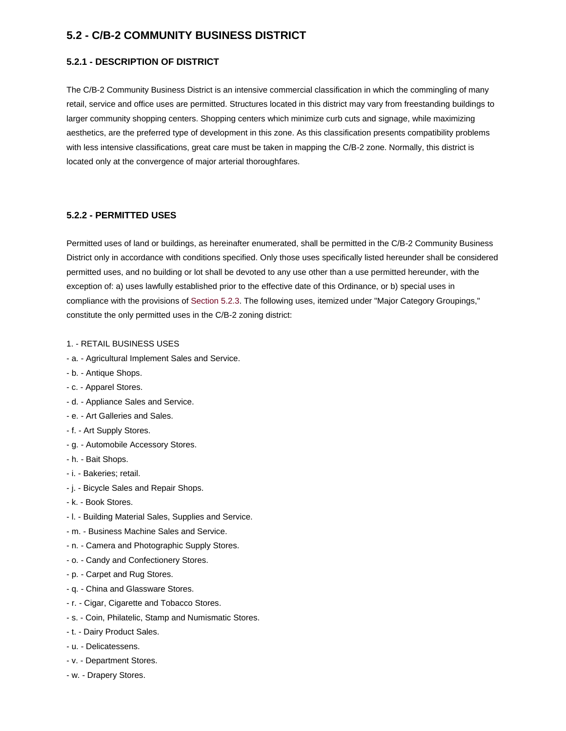# **5.2 - C/B-2 COMMUNITY BUSINESS DISTRICT**

# **5.2.1 - DESCRIPTION OF DISTRICT**

The C/B-2 Community Business District is an intensive commercial classification in which the commingling of many retail, service and office uses are permitted. Structures located in this district may vary from freestanding buildings to larger community shopping centers. Shopping centers which minimize curb cuts and signage, while maximizing aesthetics, are the preferred type of development in this zone. As this classification presents compatibility problems with less intensive classifications, great care must be taken in mapping the C/B-2 zone. Normally, this district is located only at the convergence of major arterial thoroughfares.

# **5.2.2 - PERMITTED USES**

Permitted uses of land or buildings, as hereinafter enumerated, shall be permitted in the C/B-2 Community Business District only in accordance with conditions specified. Only those uses specifically listed hereunder shall be considered permitted uses, and no building or lot shall be devoted to any use other than a use permitted hereunder, with the exception of: a) uses lawfully established prior to the effective date of this Ordinance, or b) special uses in compliance with the provisions o[f Section 5.2.3.](http://www.gurnee.il.us/community_dev/zoning_ordinance/05%235.2.3) The following uses, itemized under "Major Category Groupings," constitute the only permitted uses in the C/B-2 zoning district:

#### 1. - RETAIL BUSINESS USES

- a. Agricultural Implement Sales and Service.
- b. Antique Shops.
- c. Apparel Stores.
- d. Appliance Sales and Service.
- e. Art Galleries and Sales.
- f. Art Supply Stores.
- g. Automobile Accessory Stores.
- h. Bait Shops.
- i. Bakeries; retail.
- j. Bicycle Sales and Repair Shops.
- k. Book Stores.
- l. Building Material Sales, Supplies and Service.
- m. Business Machine Sales and Service.
- n. Camera and Photographic Supply Stores.
- o. Candy and Confectionery Stores.
- p. Carpet and Rug Stores.
- q. China and Glassware Stores.
- r. Cigar, Cigarette and Tobacco Stores.
- s. Coin, Philatelic, Stamp and Numismatic Stores.
- t. Dairy Product Sales.
- u. Delicatessens.
- v. Department Stores.
- w. Drapery Stores.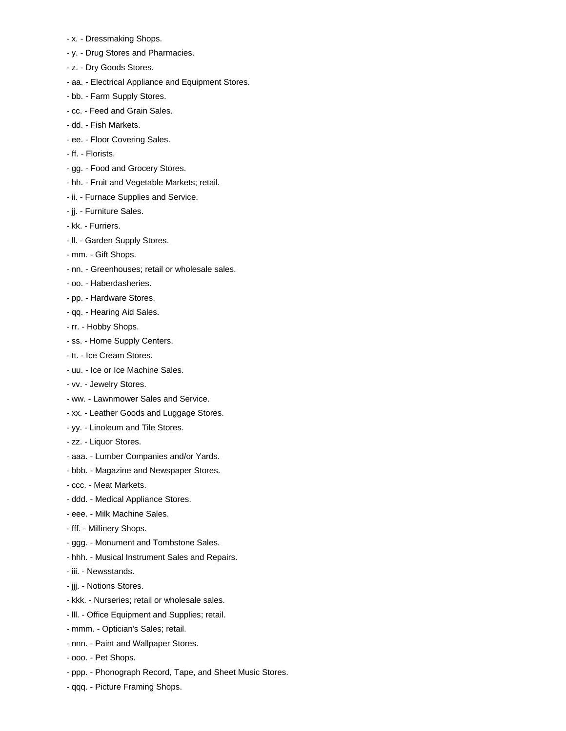- x. Dressmaking Shops.
- y. Drug Stores and Pharmacies.
- z. Dry Goods Stores.
- aa. Electrical Appliance and Equipment Stores.
- bb. Farm Supply Stores.
- cc. Feed and Grain Sales.
- dd. Fish Markets.
- ee. Floor Covering Sales.
- ff. Florists.
- gg. Food and Grocery Stores.
- hh. Fruit and Vegetable Markets; retail.
- ii. Furnace Supplies and Service.
- jj. Furniture Sales.
- kk. Furriers.
- ll. Garden Supply Stores.
- mm. Gift Shops.
- nn. Greenhouses; retail or wholesale sales.
- oo. Haberdasheries.
- pp. Hardware Stores.
- qq. Hearing Aid Sales.
- rr. Hobby Shops.
- ss. Home Supply Centers.
- tt. Ice Cream Stores.
- uu. Ice or Ice Machine Sales.
- vv. Jewelry Stores.
- ww. Lawnmower Sales and Service.
- xx. Leather Goods and Luggage Stores.
- yy. Linoleum and Tile Stores.
- zz. Liquor Stores.
- aaa. Lumber Companies and/or Yards.
- bbb. Magazine and Newspaper Stores.
- ccc. Meat Markets.
- ddd. Medical Appliance Stores.
- eee. Milk Machine Sales.
- fff. Millinery Shops.
- ggg. Monument and Tombstone Sales.
- hhh. Musical Instrument Sales and Repairs.
- iii. Newsstands.
- jjj. Notions Stores.
- kkk. Nurseries; retail or wholesale sales.
- lll. Office Equipment and Supplies; retail.
- mmm. Optician's Sales; retail.
- nnn. Paint and Wallpaper Stores.
- ooo. Pet Shops.
- ppp. Phonograph Record, Tape, and Sheet Music Stores.
- qqq. Picture Framing Shops.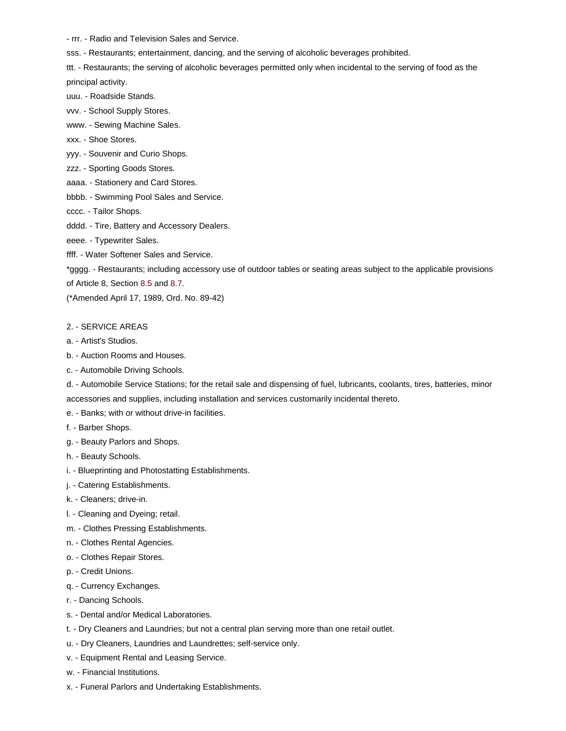- rrr. - Radio and Television Sales and Service.

sss. - Restaurants; entertainment, dancing, and the serving of alcoholic beverages prohibited.

ttt. - Restaurants; the serving of alcoholic beverages permitted only when incidental to the serving of food as the principal activity.

- uuu. Roadside Stands.
- vvv. School Supply Stores.

www. - Sewing Machine Sales.

- xxx. Shoe Stores.
- yyy. Souvenir and Curio Shops.
- zzz. Sporting Goods Stores.
- aaaa. Stationery and Card Stores.
- bbbb. Swimming Pool Sales and Service.
- cccc. Tailor Shops.
- dddd. Tire, Battery and Accessory Dealers.
- eeee. Typewriter Sales.
- ffff. Water Softener Sales and Service.

\*gggg. - Restaurants; including accessory use of outdoor tables or seating areas subject to the applicable provisions

of Article 8, Section [8.5](http://www.gurnee.il.us/community_dev/zoning_ordinance/08%238.5) an[d 8.7.](http://www.gurnee.il.us/community_dev/zoning_ordinance/08%238.7)

(\*Amended April 17, 1989, Ord. No. 89-42)

#### 2. - SERVICE AREAS

- a. Artist's Studios.
- b. Auction Rooms and Houses.
- c. Automobile Driving Schools.

d. - Automobile Service Stations; for the retail sale and dispensing of fuel, lubricants, coolants, tires, batteries, minor accessories and supplies, including installation and services customarily incidental thereto.

- e. Banks; with or without drive-in facilities.
- f. Barber Shops.
- g. Beauty Parlors and Shops.
- h. Beauty Schools.
- i. Blueprinting and Photostatting Establishments.
- j. Catering Establishments.
- k. Cleaners; drive-in.
- l. Cleaning and Dyeing; retail.
- m. Clothes Pressing Establishments.
- n. Clothes Rental Agencies.
- o. Clothes Repair Stores.
- p. Credit Unions.
- q. Currency Exchanges.
- r. Dancing Schools.
- s. Dental and/or Medical Laboratories.
- t. Dry Cleaners and Laundries; but not a central plan serving more than one retail outlet.
- u. Dry Cleaners, Laundries and Laundrettes; self-service only.
- v. Equipment Rental and Leasing Service.
- w. Financial Institutions.
- x. Funeral Parlors and Undertaking Establishments.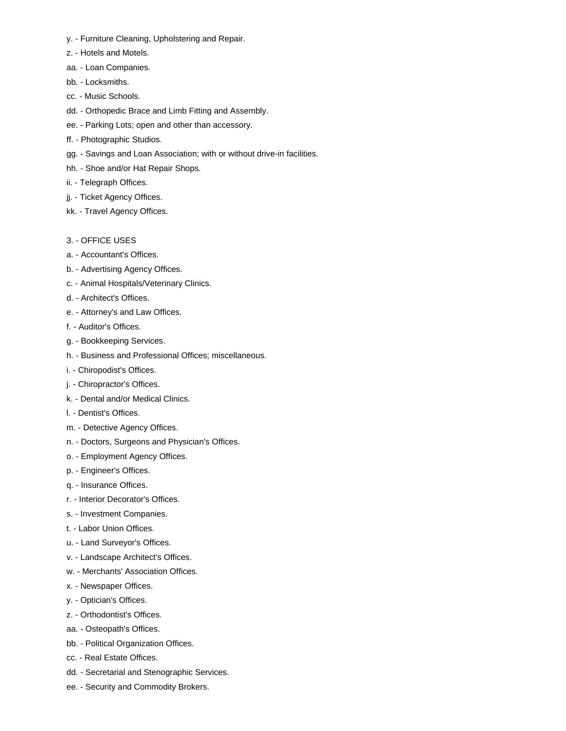- y. Furniture Cleaning, Upholstering and Repair.
- z. Hotels and Motels.
- aa. Loan Companies.
- bb. Locksmiths.
- cc. Music Schools.
- dd. Orthopedic Brace and Limb Fitting and Assembly.
- ee. Parking Lots; open and other than accessory.
- ff. Photographic Studios.
- gg. Savings and Loan Association; with or without drive-in facilities.
- hh. Shoe and/or Hat Repair Shops.
- ii. Telegraph Offices.
- jj. Ticket Agency Offices.
- kk. Travel Agency Offices.
- 3. OFFICE USES
- a. Accountant's Offices.
- b. Advertising Agency Offices.
- c. Animal Hospitals/Veterinary Clinics.
- d. Architect's Offices.
- e. Attorney's and Law Offices.
- f. Auditor's Offices.
- g. Bookkeeping Services.
- h. Business and Professional Offices; miscellaneous.
- i. Chiropodist's Offices.
- j. Chiropractor's Offices.
- k. Dental and/or Medical Clinics.
- l. Dentist's Offices.
- m. Detective Agency Offices.
- n. Doctors, Surgeons and Physician's Offices.
- o. Employment Agency Offices.
- p. Engineer's Offices.
- q. Insurance Offices.
- r. Interior Decorator's Offices.
- s. Investment Companies.
- t. Labor Union Offices.
- u. Land Surveyor's Offices.
- v. Landscape Architect's Offices.
- w. Merchants' Association Offices.
- x. Newspaper Offices.
- y. Optician's Offices.
- z. Orthodontist's Offices.
- aa. Osteopath's Offices.
- bb. Political Organization Offices.
- cc. Real Estate Offices.
- dd. Secretarial and Stenographic Services.
- ee. Security and Commodity Brokers.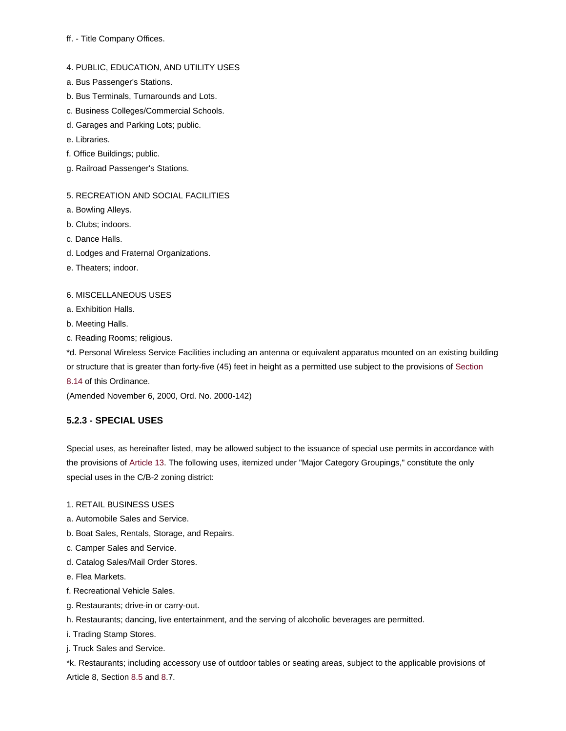## ff. - Title Company Offices.

## 4. PUBLIC, EDUCATION, AND UTILITY USES

- a. Bus Passenger's Stations.
- b. Bus Terminals, Turnarounds and Lots.
- c. Business Colleges/Commercial Schools.
- d. Garages and Parking Lots; public.
- e. Libraries.
- f. Office Buildings; public.
- g. Railroad Passenger's Stations.

# 5. RECREATION AND SOCIAL FACILITIES

- a. Bowling Alleys.
- b. Clubs; indoors.
- c. Dance Halls.
- d. Lodges and Fraternal Organizations.
- e. Theaters; indoor.

## 6. MISCELLANEOUS USES

- a. Exhibition Halls.
- b. Meeting Halls.
- c. Reading Rooms; religious.

\*d. Personal Wireless Service Facilities including an antenna or equivalent apparatus mounted on an existing building or structure that is greater than forty-five (45) feet in height as a permitted use subject to the provisions o[f Section](http://www.gurnee.il.us/community_dev/zoning_ordinance/08%238.14) 

[8.14](http://www.gurnee.il.us/community_dev/zoning_ordinance/08%238.14) of this Ordinance.

(Amended November 6, 2000, Ord. No. 2000-142)

# **5.2.3 - SPECIAL USES**

Special uses, as hereinafter listed, may be allowed subject to the issuance of special use permits in accordance with the provisions of [Article 13.](http://www.gurnee.il.us/community_dev/zoning_ordinance/13%2313) The following uses, itemized under "Major Category Groupings," constitute the only special uses in the C/B-2 zoning district:

- 1. RETAIL BUSINESS USES
- a. Automobile Sales and Service.
- b. Boat Sales, Rentals, Storage, and Repairs.
- c. Camper Sales and Service.
- d. Catalog Sales/Mail Order Stores.
- e. Flea Markets.
- f. Recreational Vehicle Sales.
- g. Restaurants; drive-in or carry-out.
- h. Restaurants; dancing, live entertainment, and the serving of alcoholic beverages are permitted.
- i. Trading Stamp Stores.
- j. Truck Sales and Service.

\*k. Restaurants; including accessory use of outdoor tables or seating areas, subject to the applicable provisions of Article 8, Section [8.5](http://www.gurnee.il.us/community_dev/zoning_ordinance/08%238.5) an[d 8.](http://www.gurnee.il.us/community_dev/zoning_ordinance/08%238.7)7.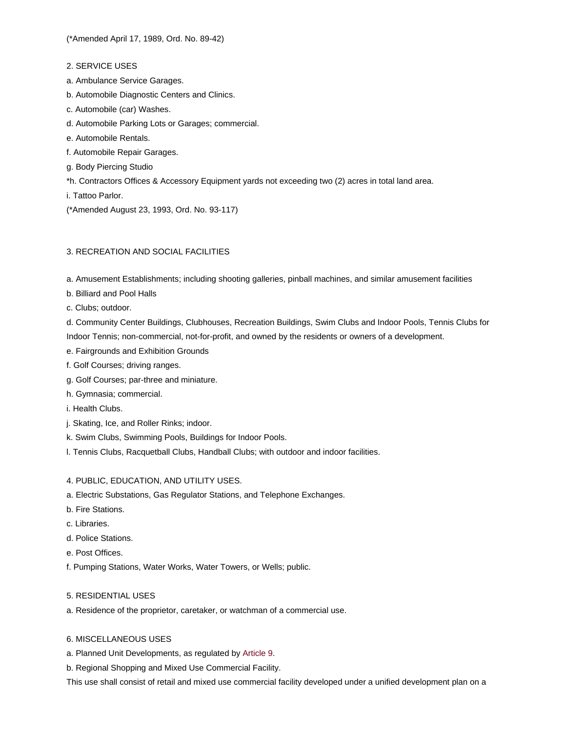- 2. SERVICE USES
- a. Ambulance Service Garages.
- b. Automobile Diagnostic Centers and Clinics.
- c. Automobile (car) Washes.
- d. Automobile Parking Lots or Garages; commercial.
- e. Automobile Rentals.
- f. Automobile Repair Garages.
- g. Body Piercing Studio
- \*h. Contractors Offices & Accessory Equipment yards not exceeding two (2) acres in total land area.

i. Tattoo Parlor.

(\*Amended August 23, 1993, Ord. No. 93-117)

# 3. RECREATION AND SOCIAL FACILITIES

a. Amusement Establishments; including shooting galleries, pinball machines, and similar amusement facilities

- b. Billiard and Pool Halls
- c. Clubs; outdoor.

d. Community Center Buildings, Clubhouses, Recreation Buildings, Swim Clubs and Indoor Pools, Tennis Clubs for Indoor Tennis; non-commercial, not-for-profit, and owned by the residents or owners of a development.

- e. Fairgrounds and Exhibition Grounds
- f. Golf Courses; driving ranges.
- g. Golf Courses; par-three and miniature.
- h. Gymnasia; commercial.
- i. Health Clubs.
- j. Skating, Ice, and Roller Rinks; indoor.
- k. Swim Clubs, Swimming Pools, Buildings for Indoor Pools.
- l. Tennis Clubs, Racquetball Clubs, Handball Clubs; with outdoor and indoor facilities.

# 4. PUBLIC, EDUCATION, AND UTILITY USES.

- a. Electric Substations, Gas Regulator Stations, and Telephone Exchanges.
- b. Fire Stations.
- c. Libraries.
- d. Police Stations.
- e. Post Offices.
- f. Pumping Stations, Water Works, Water Towers, or Wells; public.

## 5. RESIDENTIAL USES

- a. Residence of the proprietor, caretaker, or watchman of a commercial use.
- 6. MISCELLANEOUS USES
- a. Planned Unit Developments, as regulated b[y Article 9.](http://www.gurnee.il.us/community_dev/zoning_ordinance/09%2309)
- b. Regional Shopping and Mixed Use Commercial Facility.

This use shall consist of retail and mixed use commercial facility developed under a unified development plan on a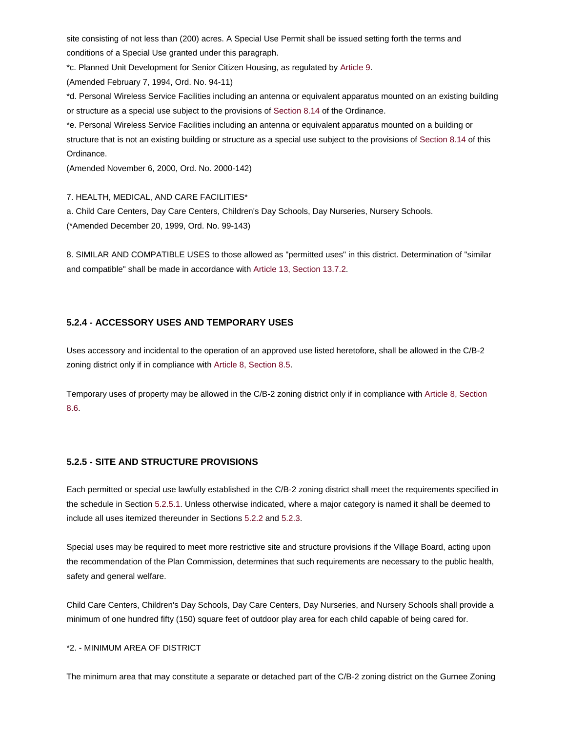site consisting of not less than (200) acres. A Special Use Permit shall be issued setting forth the terms and conditions of a Special Use granted under this paragraph.

\*c. Planned Unit Development for Senior Citizen Housing, as regulated by [Article 9.](http://www.gurnee.il.us/community_dev/zoning_ordinance/09%2309)

(Amended February 7, 1994, Ord. No. 94-11)

\*d. Personal Wireless Service Facilities including an antenna or equivalent apparatus mounted on an existing building or structure as a special use subject to the provisions of [Section 8.14](http://www.gurnee.il.us/community_dev/zoning_ordinance/08%238.14) of the Ordinance.

\*e. Personal Wireless Service Facilities including an antenna or equivalent apparatus mounted on a building or structure that is not an existing building or structure as a special use subject to the provisions of [Section 8.14](http://www.gurnee.il.us/community_dev/zoning_ordinance/08%238.14) of this Ordinance.

(Amended November 6, 2000, Ord. No. 2000-142)

7. HEALTH, MEDICAL, AND CARE FACILITIES\*

a. Child Care Centers, Day Care Centers, Children's Day Schools, Day Nurseries, Nursery Schools. (\*Amended December 20, 1999, Ord. No. 99-143)

8. SIMILAR AND COMPATIBLE USES to those allowed as "permitted uses" in this district. Determination of "similar and compatible" shall be made in accordance with [Article 13, Section 13.7.2.](http://www.gurnee.il.us/community_dev/zoning_ordinance/13%2313.7.2)

## **5.2.4 - ACCESSORY USES AND TEMPORARY USES**

Uses accessory and incidental to the operation of an approved use listed heretofore, shall be allowed in the C/B-2 zoning district only if in compliance wit[h Article 8, Section 8.5.](http://www.gurnee.il.us/community_dev/zoning_ordinance/08%238.5)

Temporary uses of property may be allowed in the C/B-2 zoning district only if in compliance wit[h Article 8, Section](http://www.gurnee.il.us/community_dev/zoning_ordinance/08%238.6)  [8.6.](http://www.gurnee.il.us/community_dev/zoning_ordinance/08%238.6)

# **5.2.5 - SITE AND STRUCTURE PROVISIONS**

Each permitted or special use lawfully established in the C/B-2 zoning district shall meet the requirements specified in the schedule in Sectio[n 5.2.5.1.](http://www.gurnee.il.us/files/5.2.5.1SiteandStructureProvisions_C-B2.pdf) Unless otherwise indicated, where a major category is named it shall be deemed to include all uses itemized thereunder in Section[s 5.2.2](http://www.gurnee.il.us/community_dev/zoning_ordinance/05%235.2.2) an[d 5.2.3.](http://www.gurnee.il.us/community_dev/zoning_ordinance/05%235.2.3)

Special uses may be required to meet more restrictive site and structure provisions if the Village Board, acting upon the recommendation of the Plan Commission, determines that such requirements are necessary to the public health, safety and general welfare.

Child Care Centers, Children's Day Schools, Day Care Centers, Day Nurseries, and Nursery Schools shall provide a minimum of one hundred fifty (150) square feet of outdoor play area for each child capable of being cared for.

#### \*2. - MINIMUM AREA OF DISTRICT

The minimum area that may constitute a separate or detached part of the C/B-2 zoning district on the Gurnee Zoning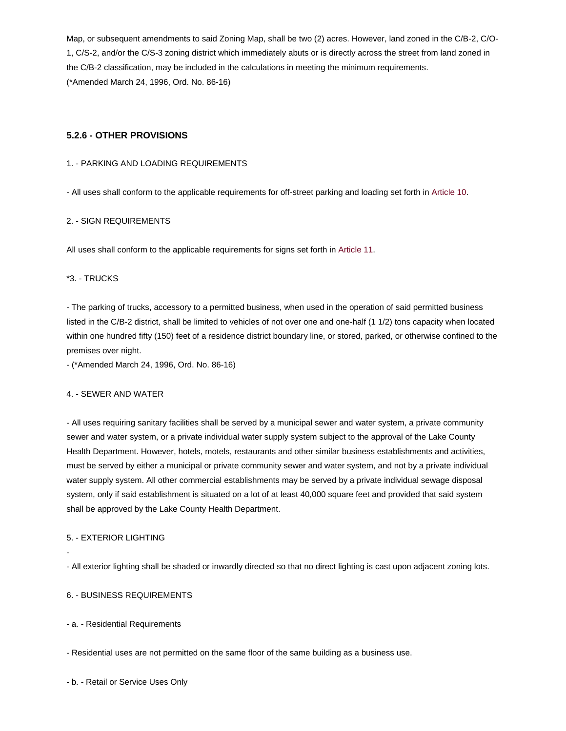Map, or subsequent amendments to said Zoning Map, shall be two (2) acres. However, land zoned in the C/B-2, C/O-1, C/S-2, and/or the C/S-3 zoning district which immediately abuts or is directly across the street from land zoned in the C/B-2 classification, may be included in the calculations in meeting the minimum requirements. (\*Amended March 24, 1996, Ord. No. 86-16)

## **5.2.6 - OTHER PROVISIONS**

#### 1. - PARKING AND LOADING REQUIREMENTS

- All uses shall conform to the applicable requirements for off-street parking and loading set forth in [Article 10.](http://www.gurnee.il.us/community_dev/zoning_ordinance/10%2310)

#### 2. - SIGN REQUIREMENTS

All uses shall conform to the applicable requirements for signs set forth in [Article 11.](http://www.gurnee.il.us/community_dev/zoning_ordinance/11%2311)

### \*3. - TRUCKS

- The parking of trucks, accessory to a permitted business, when used in the operation of said permitted business listed in the C/B-2 district, shall be limited to vehicles of not over one and one-half (1 1/2) tons capacity when located within one hundred fifty (150) feet of a residence district boundary line, or stored, parked, or otherwise confined to the premises over night.

- (\*Amended March 24, 1996, Ord. No. 86-16)

#### 4. - SEWER AND WATER

- All uses requiring sanitary facilities shall be served by a municipal sewer and water system, a private community sewer and water system, or a private individual water supply system subject to the approval of the Lake County Health Department. However, hotels, motels, restaurants and other similar business establishments and activities, must be served by either a municipal or private community sewer and water system, and not by a private individual water supply system. All other commercial establishments may be served by a private individual sewage disposal system, only if said establishment is situated on a lot of at least 40,000 square feet and provided that said system shall be approved by the Lake County Health Department.

### 5. - EXTERIOR LIGHTING

-

- All exterior lighting shall be shaded or inwardly directed so that no direct lighting is cast upon adjacent zoning lots.

## 6. - BUSINESS REQUIREMENTS

- a. - Residential Requirements

- Residential uses are not permitted on the same floor of the same building as a business use.

- b. - Retail or Service Uses Only